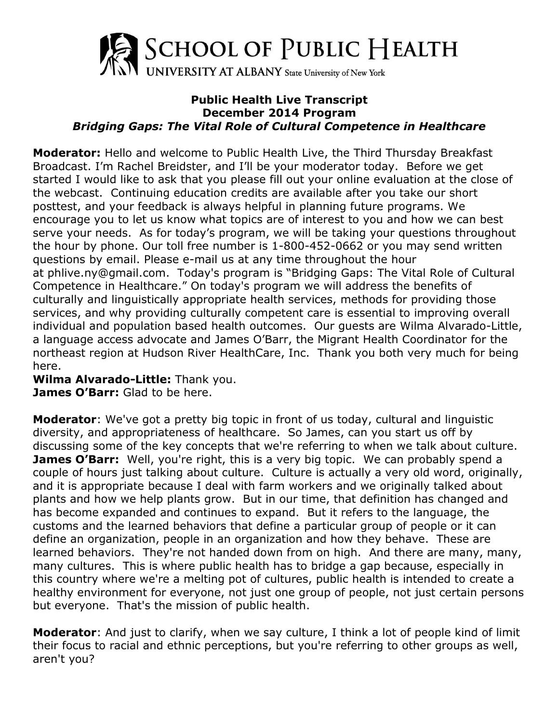

## **Public Health Live Transcript December 2014 Program** *Bridging Gaps: The Vital Role of Cultural Competence in Healthcare*

**Moderator:** Hello and welcome to Public Health Live, the Third Thursday Breakfast Broadcast. I'm Rachel Breidster, and I'll be your moderator today. Before we get started I would like to ask that you please fill out your online evaluation at the close of the webcast. Continuing education credits are available after you take our short posttest, and your feedback is always helpful in planning future programs. We encourage you to let us know what topics are of interest to you and how we can best serve your needs. As for today's program, we will be taking your questions throughout the hour by phone. Our toll free number is 1-800-452-0662 or you may send written questions by email. Please e-mail us at any time throughout the hour at phlive.ny@gmail.com. Today's program is "Bridging Gaps: The Vital Role of Cultural Competence in Healthcare." On today's program we will address the benefits of culturally and linguistically appropriate health services, methods for providing those services, and why providing culturally competent care is essential to improving overall individual and population based health outcomes. Our guests are Wilma Alvarado-Little, a language access advocate and James O'Barr, the Migrant Health Coordinator for the northeast region at Hudson River HealthCare, Inc. Thank you both very much for being here.

**Wilma Alvarado-Little:** Thank you. **James O'Barr:** Glad to be here.

**Moderator**: We've got a pretty big topic in front of us today, cultural and linguistic diversity, and appropriateness of healthcare. So James, can you start us off by discussing some of the key concepts that we're referring to when we talk about culture. **James O'Barr:** Well, you're right, this is a very big topic. We can probably spend a couple of hours just talking about culture. Culture is actually a very old word, originally, and it is appropriate because I deal with farm workers and we originally talked about plants and how we help plants grow. But in our time, that definition has changed and has become expanded and continues to expand. But it refers to the language, the customs and the learned behaviors that define a particular group of people or it can define an organization, people in an organization and how they behave. These are learned behaviors. They're not handed down from on high. And there are many, many, many cultures. This is where public health has to bridge a gap because, especially in this country where we're a melting pot of cultures, public health is intended to create a healthy environment for everyone, not just one group of people, not just certain persons but everyone. That's the mission of public health.

**Moderator**: And just to clarify, when we say culture, I think a lot of people kind of limit their focus to racial and ethnic perceptions, but you're referring to other groups as well, aren't you?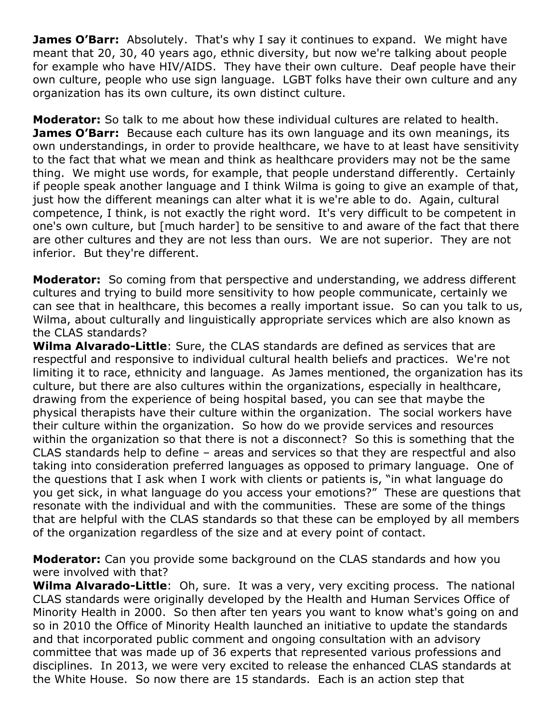**James O'Barr:** Absolutely. That's why I say it continues to expand. We might have meant that 20, 30, 40 years ago, ethnic diversity, but now we're talking about people for example who have HIV/AIDS. They have their own culture. Deaf people have their own culture, people who use sign language. LGBT folks have their own culture and any organization has its own culture, its own distinct culture.

**Moderator:** So talk to me about how these individual cultures are related to health. **James O'Barr:** Because each culture has its own language and its own meanings, its own understandings, in order to provide healthcare, we have to at least have sensitivity to the fact that what we mean and think as healthcare providers may not be the same thing. We might use words, for example, that people understand differently. Certainly if people speak another language and I think Wilma is going to give an example of that, just how the different meanings can alter what it is we're able to do. Again, cultural competence, I think, is not exactly the right word. It's very difficult to be competent in one's own culture, but [much harder] to be sensitive to and aware of the fact that there are other cultures and they are not less than ours. We are not superior. They are not inferior. But they're different.

**Moderator:** So coming from that perspective and understanding, we address different cultures and trying to build more sensitivity to how people communicate, certainly we can see that in healthcare, this becomes a really important issue. So can you talk to us, Wilma, about culturally and linguistically appropriate services which are also known as the CLAS standards?

**Wilma Alvarado-Little**: Sure, the CLAS standards are defined as services that are respectful and responsive to individual cultural health beliefs and practices. We're not limiting it to race, ethnicity and language. As James mentioned, the organization has its culture, but there are also cultures within the organizations, especially in healthcare, drawing from the experience of being hospital based, you can see that maybe the physical therapists have their culture within the organization. The social workers have their culture within the organization. So how do we provide services and resources within the organization so that there is not a disconnect? So this is something that the CLAS standards help to define – areas and services so that they are respectful and also taking into consideration preferred languages as opposed to primary language. One of the questions that I ask when I work with clients or patients is, "in what language do you get sick, in what language do you access your emotions?" These are questions that resonate with the individual and with the communities. These are some of the things that are helpful with the CLAS standards so that these can be employed by all members of the organization regardless of the size and at every point of contact.

**Moderator:** Can you provide some background on the CLAS standards and how you were involved with that?

**Wilma Alvarado-Little**: Oh, sure. It was a very, very exciting process. The national CLAS standards were originally developed by the Health and Human Services Office of Minority Health in 2000. So then after ten years you want to know what's going on and so in 2010 the Office of Minority Health launched an initiative to update the standards and that incorporated public comment and ongoing consultation with an advisory committee that was made up of 36 experts that represented various professions and disciplines. In 2013, we were very excited to release the enhanced CLAS standards at the White House. So now there are 15 standards. Each is an action step that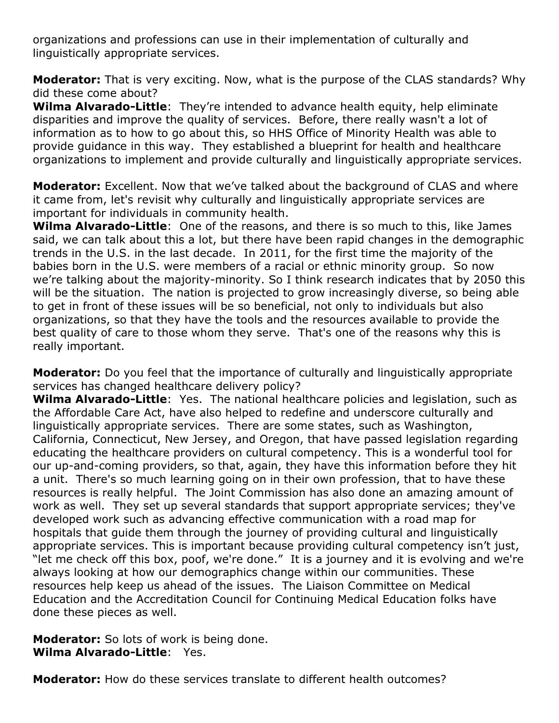organizations and professions can use in their implementation of culturally and linguistically appropriate services.

**Moderator:** That is very exciting. Now, what is the purpose of the CLAS standards? Why did these come about?

**Wilma Alvarado-Little**: They're intended to advance health equity, help eliminate disparities and improve the quality of services. Before, there really wasn't a lot of information as to how to go about this, so HHS Office of Minority Health was able to provide guidance in this way. They established a blueprint for health and healthcare organizations to implement and provide culturally and linguistically appropriate services.

**Moderator:** Excellent. Now that we've talked about the background of CLAS and where it came from, let's revisit why culturally and linguistically appropriate services are important for individuals in community health.

**Wilma Alvarado-Little**: One of the reasons, and there is so much to this, like James said, we can talk about this a lot, but there have been rapid changes in the demographic trends in the U.S. in the last decade. In 2011, for the first time the majority of the babies born in the U.S. were members of a racial or ethnic minority group. So now we're talking about the majority-minority. So I think research indicates that by 2050 this will be the situation. The nation is projected to grow increasingly diverse, so being able to get in front of these issues will be so beneficial, not only to individuals but also organizations, so that they have the tools and the resources available to provide the best quality of care to those whom they serve. That's one of the reasons why this is really important.

**Moderator:** Do you feel that the importance of culturally and linguistically appropriate services has changed healthcare delivery policy?

**Wilma Alvarado-Little**: Yes. The national healthcare policies and legislation, such as the Affordable Care Act, have also helped to redefine and underscore culturally and linguistically appropriate services. There are some states, such as Washington, California, Connecticut, New Jersey, and Oregon, that have passed legislation regarding educating the healthcare providers on cultural competency. This is a wonderful tool for our up-and-coming providers, so that, again, they have this information before they hit a unit. There's so much learning going on in their own profession, that to have these resources is really helpful. The Joint Commission has also done an amazing amount of work as well. They set up several standards that support appropriate services; they've developed work such as advancing effective communication with a road map for hospitals that guide them through the journey of providing cultural and linguistically appropriate services. This is important because providing cultural competency isn't just, "let me check off this box, poof, we're done." It is a journey and it is evolving and we're always looking at how our demographics change within our communities. These resources help keep us ahead of the issues. The Liaison Committee on Medical Education and the Accreditation Council for Continuing Medical Education folks have done these pieces as well.

**Moderator:** So lots of work is being done. **Wilma Alvarado-Little**: Yes.

**Moderator:** How do these services translate to different health outcomes?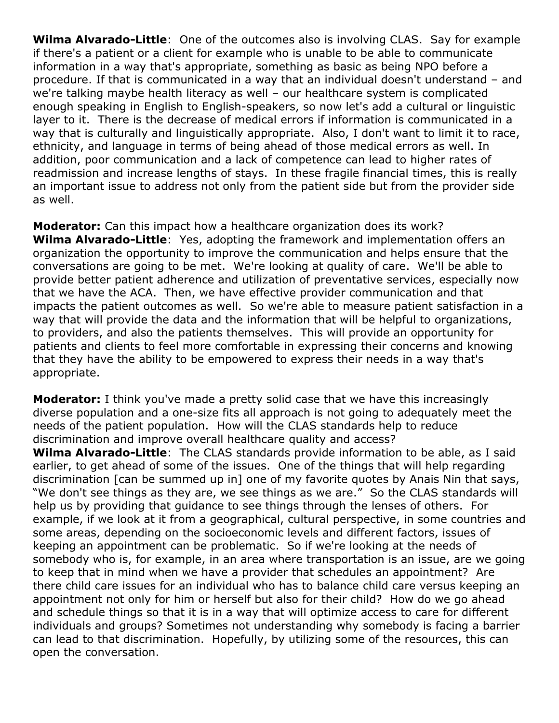**Wilma Alvarado-Little**: One of the outcomes also is involving CLAS. Say for example if there's a patient or a client for example who is unable to be able to communicate information in a way that's appropriate, something as basic as being NPO before a procedure. If that is communicated in a way that an individual doesn't understand – and we're talking maybe health literacy as well – our healthcare system is complicated enough speaking in English to English-speakers, so now let's add a cultural or linguistic layer to it. There is the decrease of medical errors if information is communicated in a way that is culturally and linguistically appropriate. Also, I don't want to limit it to race, ethnicity, and language in terms of being ahead of those medical errors as well. In addition, poor communication and a lack of competence can lead to higher rates of readmission and increase lengths of stays. In these fragile financial times, this is really an important issue to address not only from the patient side but from the provider side as well.

**Moderator:** Can this impact how a healthcare organization does its work? **Wilma Alvarado-Little**: Yes, adopting the framework and implementation offers an organization the opportunity to improve the communication and helps ensure that the conversations are going to be met. We're looking at quality of care. We'll be able to provide better patient adherence and utilization of preventative services, especially now that we have the ACA. Then, we have effective provider communication and that impacts the patient outcomes as well. So we're able to measure patient satisfaction in a way that will provide the data and the information that will be helpful to organizations, to providers, and also the patients themselves. This will provide an opportunity for patients and clients to feel more comfortable in expressing their concerns and knowing that they have the ability to be empowered to express their needs in a way that's appropriate.

**Moderator:** I think you've made a pretty solid case that we have this increasingly diverse population and a one-size fits all approach is not going to adequately meet the needs of the patient population. How will the CLAS standards help to reduce discrimination and improve overall healthcare quality and access?

**Wilma Alvarado-Little**: The CLAS standards provide information to be able, as I said earlier, to get ahead of some of the issues. One of the things that will help regarding discrimination [can be summed up in] one of my favorite quotes by Anais Nin that says, "We don't see things as they are, we see things as we are." So the CLAS standards will help us by providing that guidance to see things through the lenses of others. For example, if we look at it from a geographical, cultural perspective, in some countries and some areas, depending on the socioeconomic levels and different factors, issues of keeping an appointment can be problematic. So if we're looking at the needs of somebody who is, for example, in an area where transportation is an issue, are we going to keep that in mind when we have a provider that schedules an appointment? Are there child care issues for an individual who has to balance child care versus keeping an appointment not only for him or herself but also for their child? How do we go ahead and schedule things so that it is in a way that will optimize access to care for different individuals and groups? Sometimes not understanding why somebody is facing a barrier can lead to that discrimination. Hopefully, by utilizing some of the resources, this can open the conversation.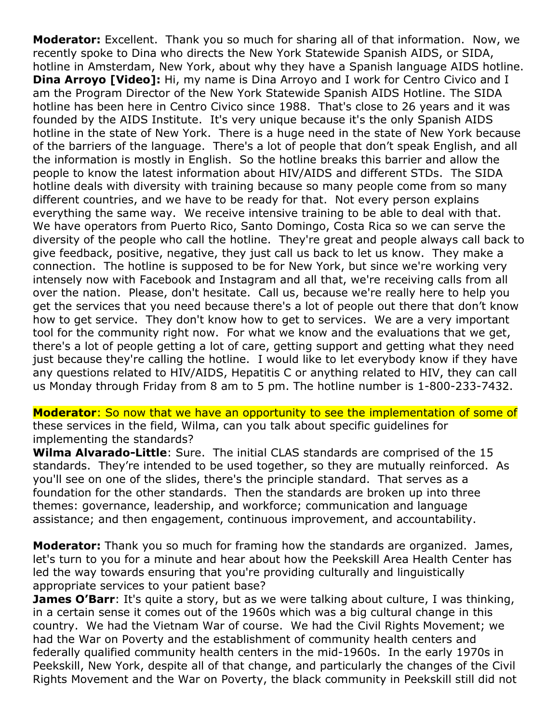**Moderator:** Excellent. Thank you so much for sharing all of that information. Now, we recently spoke to Dina who directs the New York Statewide Spanish AIDS, or SIDA, hotline in Amsterdam, New York, about why they have a Spanish language AIDS hotline. **Dina Arroyo [Video]:** Hi, my name is Dina Arroyo and I work for Centro Civico and I am the Program Director of the New York Statewide Spanish AIDS Hotline. The SIDA hotline has been here in Centro Civico since 1988. That's close to 26 years and it was founded by the AIDS Institute. It's very unique because it's the only Spanish AIDS hotline in the state of New York. There is a huge need in the state of New York because of the barriers of the language. There's a lot of people that don't speak English, and all the information is mostly in English. So the hotline breaks this barrier and allow the people to know the latest information about HIV/AIDS and different STDs. The SIDA hotline deals with diversity with training because so many people come from so many different countries, and we have to be ready for that. Not every person explains everything the same way. We receive intensive training to be able to deal with that. We have operators from Puerto Rico, Santo Domingo, Costa Rica so we can serve the diversity of the people who call the hotline. They're great and people always call back to give feedback, positive, negative, they just call us back to let us know. They make a connection. The hotline is supposed to be for New York, but since we're working very intensely now with Facebook and Instagram and all that, we're receiving calls from all over the nation. Please, don't hesitate. Call us, because we're really here to help you get the services that you need because there's a lot of people out there that don't know how to get service. They don't know how to get to services. We are a very important tool for the community right now. For what we know and the evaluations that we get, there's a lot of people getting a lot of care, getting support and getting what they need just because they're calling the hotline. I would like to let everybody know if they have any questions related to HIV/AIDS, Hepatitis C or anything related to HIV, they can call us Monday through Friday from 8 am to 5 pm. The hotline number is 1-800-233-7432.

**Moderator**: So now that we have an opportunity to see the implementation of some of these services in the field, Wilma, can you talk about specific guidelines for implementing the standards?

**Wilma Alvarado-Little**: Sure. The initial CLAS standards are comprised of the 15 standards. They're intended to be used together, so they are mutually reinforced. As you'll see on one of the slides, there's the principle standard. That serves as a foundation for the other standards. Then the standards are broken up into three themes: governance, leadership, and workforce; communication and language assistance; and then engagement, continuous improvement, and accountability.

**Moderator:** Thank you so much for framing how the standards are organized. James, let's turn to you for a minute and hear about how the Peekskill Area Health Center has led the way towards ensuring that you're providing culturally and linguistically appropriate services to your patient base?

**James O'Barr**: It's quite a story, but as we were talking about culture, I was thinking, in a certain sense it comes out of the 1960s which was a big cultural change in this country. We had the Vietnam War of course. We had the Civil Rights Movement; we had the War on Poverty and the establishment of community health centers and federally qualified community health centers in the mid-1960s. In the early 1970s in Peekskill, New York, despite all of that change, and particularly the changes of the Civil Rights Movement and the War on Poverty, the black community in Peekskill still did not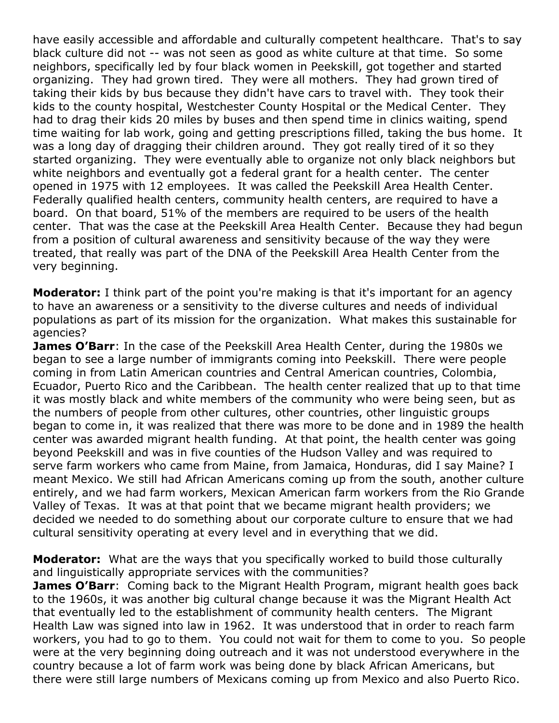have easily accessible and affordable and culturally competent healthcare. That's to say black culture did not -- was not seen as good as white culture at that time. So some neighbors, specifically led by four black women in Peekskill, got together and started organizing. They had grown tired. They were all mothers. They had grown tired of taking their kids by bus because they didn't have cars to travel with. They took their kids to the county hospital, Westchester County Hospital or the Medical Center. They had to drag their kids 20 miles by buses and then spend time in clinics waiting, spend time waiting for lab work, going and getting prescriptions filled, taking the bus home. It was a long day of dragging their children around. They got really tired of it so they started organizing. They were eventually able to organize not only black neighbors but white neighbors and eventually got a federal grant for a health center. The center opened in 1975 with 12 employees. It was called the Peekskill Area Health Center. Federally qualified health centers, community health centers, are required to have a board. On that board, 51% of the members are required to be users of the health center. That was the case at the Peekskill Area Health Center. Because they had begun from a position of cultural awareness and sensitivity because of the way they were treated, that really was part of the DNA of the Peekskill Area Health Center from the very beginning.

**Moderator:** I think part of the point you're making is that it's important for an agency to have an awareness or a sensitivity to the diverse cultures and needs of individual populations as part of its mission for the organization. What makes this sustainable for agencies?

**James O'Barr**: In the case of the Peekskill Area Health Center, during the 1980s we began to see a large number of immigrants coming into Peekskill. There were people coming in from Latin American countries and Central American countries, Colombia, Ecuador, Puerto Rico and the Caribbean. The health center realized that up to that time it was mostly black and white members of the community who were being seen, but as the numbers of people from other cultures, other countries, other linguistic groups began to come in, it was realized that there was more to be done and in 1989 the health center was awarded migrant health funding. At that point, the health center was going beyond Peekskill and was in five counties of the Hudson Valley and was required to serve farm workers who came from Maine, from Jamaica, Honduras, did I say Maine? I meant Mexico. We still had African Americans coming up from the south, another culture entirely, and we had farm workers, Mexican American farm workers from the Rio Grande Valley of Texas. It was at that point that we became migrant health providers; we decided we needed to do something about our corporate culture to ensure that we had cultural sensitivity operating at every level and in everything that we did.

**Moderator:** What are the ways that you specifically worked to build those culturally and linguistically appropriate services with the communities?

**James O'Barr**: Coming back to the Migrant Health Program, migrant health goes back to the 1960s, it was another big cultural change because it was the Migrant Health Act that eventually led to the establishment of community health centers. The Migrant Health Law was signed into law in 1962. It was understood that in order to reach farm workers, you had to go to them. You could not wait for them to come to you. So people were at the very beginning doing outreach and it was not understood everywhere in the country because a lot of farm work was being done by black African Americans, but there were still large numbers of Mexicans coming up from Mexico and also Puerto Rico.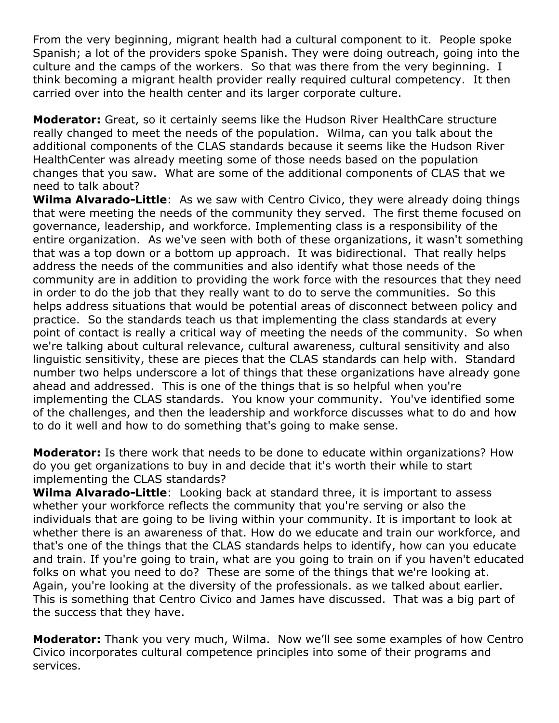From the very beginning, migrant health had a cultural component to it. People spoke Spanish; a lot of the providers spoke Spanish. They were doing outreach, going into the culture and the camps of the workers. So that was there from the very beginning. I think becoming a migrant health provider really required cultural competency. It then carried over into the health center and its larger corporate culture.

**Moderator:** Great, so it certainly seems like the Hudson River HealthCare structure really changed to meet the needs of the population. Wilma, can you talk about the additional components of the CLAS standards because it seems like the Hudson River HealthCenter was already meeting some of those needs based on the population changes that you saw. What are some of the additional components of CLAS that we need to talk about?

**Wilma Alvarado-Little**: As we saw with Centro Civico, they were already doing things that were meeting the needs of the community they served. The first theme focused on governance, leadership, and workforce. Implementing class is a responsibility of the entire organization. As we've seen with both of these organizations, it wasn't something that was a top down or a bottom up approach. It was bidirectional. That really helps address the needs of the communities and also identify what those needs of the community are in addition to providing the work force with the resources that they need in order to do the job that they really want to do to serve the communities. So this helps address situations that would be potential areas of disconnect between policy and practice. So the standards teach us that implementing the class standards at every point of contact is really a critical way of meeting the needs of the community. So when we're talking about cultural relevance, cultural awareness, cultural sensitivity and also linguistic sensitivity, these are pieces that the CLAS standards can help with. Standard number two helps underscore a lot of things that these organizations have already gone ahead and addressed. This is one of the things that is so helpful when you're implementing the CLAS standards. You know your community. You've identified some of the challenges, and then the leadership and workforce discusses what to do and how to do it well and how to do something that's going to make sense.

**Moderator:** Is there work that needs to be done to educate within organizations? How do you get organizations to buy in and decide that it's worth their while to start implementing the CLAS standards?

**Wilma Alvarado-Little**: Looking back at standard three, it is important to assess whether your workforce reflects the community that you're serving or also the individuals that are going to be living within your community. It is important to look at whether there is an awareness of that. How do we educate and train our workforce, and that's one of the things that the CLAS standards helps to identify, how can you educate and train. If you're going to train, what are you going to train on if you haven't educated folks on what you need to do? These are some of the things that we're looking at. Again, you're looking at the diversity of the professionals. as we talked about earlier. This is something that Centro Civico and James have discussed. That was a big part of the success that they have.

**Moderator:** Thank you very much, Wilma. Now we'll see some examples of how Centro Civico incorporates cultural competence principles into some of their programs and services.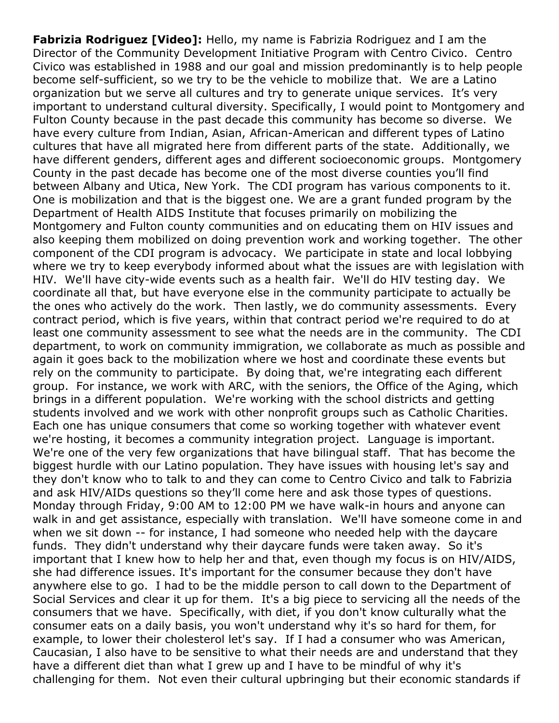**Fabrizia Rodriguez [Video]:** Hello, my name is Fabrizia Rodriguez and I am the Director of the Community Development Initiative Program with Centro Civico. Centro Civico was established in 1988 and our goal and mission predominantly is to help people become self-sufficient, so we try to be the vehicle to mobilize that. We are a Latino organization but we serve all cultures and try to generate unique services. It's very important to understand cultural diversity. Specifically, I would point to Montgomery and Fulton County because in the past decade this community has become so diverse. We have every culture from Indian, Asian, African-American and different types of Latino cultures that have all migrated here from different parts of the state. Additionally, we have different genders, different ages and different socioeconomic groups. Montgomery County in the past decade has become one of the most diverse counties you'll find between Albany and Utica, New York. The CDI program has various components to it. One is mobilization and that is the biggest one. We are a grant funded program by the Department of Health AIDS Institute that focuses primarily on mobilizing the Montgomery and Fulton county communities and on educating them on HIV issues and also keeping them mobilized on doing prevention work and working together. The other component of the CDI program is advocacy. We participate in state and local lobbying where we try to keep everybody informed about what the issues are with legislation with HIV. We'll have city-wide events such as a health fair. We'll do HIV testing day. We coordinate all that, but have everyone else in the community participate to actually be the ones who actively do the work. Then lastly, we do community assessments. Every contract period, which is five years, within that contract period we're required to do at least one community assessment to see what the needs are in the community. The CDI department, to work on community immigration, we collaborate as much as possible and again it goes back to the mobilization where we host and coordinate these events but rely on the community to participate. By doing that, we're integrating each different group. For instance, we work with ARC, with the seniors, the Office of the Aging, which brings in a different population. We're working with the school districts and getting students involved and we work with other nonprofit groups such as Catholic Charities. Each one has unique consumers that come so working together with whatever event we're hosting, it becomes a community integration project. Language is important. We're one of the very few organizations that have bilingual staff. That has become the biggest hurdle with our Latino population. They have issues with housing let's say and they don't know who to talk to and they can come to Centro Civico and talk to Fabrizia and ask HIV/AIDs questions so they'll come here and ask those types of questions. Monday through Friday, 9:00 AM to 12:00 PM we have walk-in hours and anyone can walk in and get assistance, especially with translation. We'll have someone come in and when we sit down -- for instance, I had someone who needed help with the daycare funds. They didn't understand why their daycare funds were taken away. So it's important that I knew how to help her and that, even though my focus is on HIV/AIDS, she had difference issues. It's important for the consumer because they don't have anywhere else to go. I had to be the middle person to call down to the Department of Social Services and clear it up for them. It's a big piece to servicing all the needs of the consumers that we have. Specifically, with diet, if you don't know culturally what the consumer eats on a daily basis, you won't understand why it's so hard for them, for example, to lower their cholesterol let's say. If I had a consumer who was American, Caucasian, I also have to be sensitive to what their needs are and understand that they have a different diet than what I grew up and I have to be mindful of why it's challenging for them. Not even their cultural upbringing but their economic standards if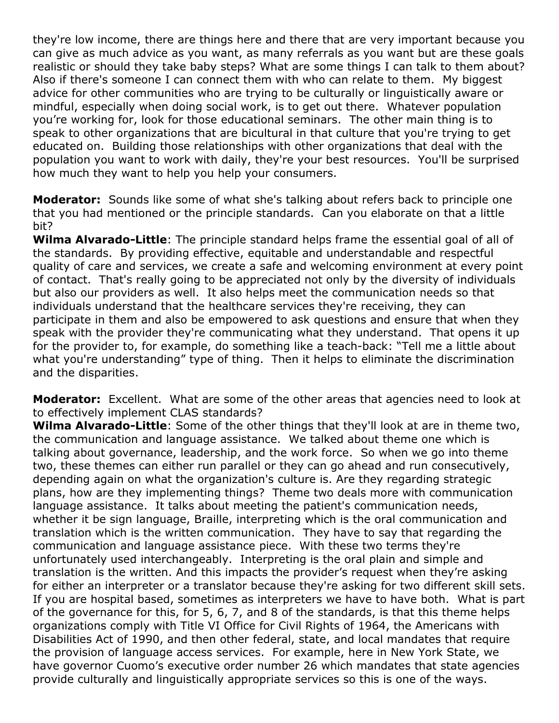they're low income, there are things here and there that are very important because you can give as much advice as you want, as many referrals as you want but are these goals realistic or should they take baby steps? What are some things I can talk to them about? Also if there's someone I can connect them with who can relate to them. My biggest advice for other communities who are trying to be culturally or linguistically aware or mindful, especially when doing social work, is to get out there. Whatever population you're working for, look for those educational seminars. The other main thing is to speak to other organizations that are bicultural in that culture that you're trying to get educated on. Building those relationships with other organizations that deal with the population you want to work with daily, they're your best resources. You'll be surprised how much they want to help you help your consumers.

**Moderator:** Sounds like some of what she's talking about refers back to principle one that you had mentioned or the principle standards. Can you elaborate on that a little bit?

**Wilma Alvarado-Little**: The principle standard helps frame the essential goal of all of the standards. By providing effective, equitable and understandable and respectful quality of care and services, we create a safe and welcoming environment at every point of contact. That's really going to be appreciated not only by the diversity of individuals but also our providers as well. It also helps meet the communication needs so that individuals understand that the healthcare services they're receiving, they can participate in them and also be empowered to ask questions and ensure that when they speak with the provider they're communicating what they understand. That opens it up for the provider to, for example, do something like a teach-back: "Tell me a little about what you're understanding" type of thing. Then it helps to eliminate the discrimination and the disparities.

**Moderator:** Excellent. What are some of the other areas that agencies need to look at to effectively implement CLAS standards?

**Wilma Alvarado-Little**: Some of the other things that they'll look at are in theme two, the communication and language assistance. We talked about theme one which is talking about governance, leadership, and the work force. So when we go into theme two, these themes can either run parallel or they can go ahead and run consecutively, depending again on what the organization's culture is. Are they regarding strategic plans, how are they implementing things? Theme two deals more with communication language assistance. It talks about meeting the patient's communication needs, whether it be sign language, Braille, interpreting which is the oral communication and translation which is the written communication. They have to say that regarding the communication and language assistance piece. With these two terms they're unfortunately used interchangeably. Interpreting is the oral plain and simple and translation is the written. And this impacts the provider's request when they're asking for either an interpreter or a translator because they're asking for two different skill sets. If you are hospital based, sometimes as interpreters we have to have both. What is part of the governance for this, for 5, 6, 7, and 8 of the standards, is that this theme helps organizations comply with Title VI Office for Civil Rights of 1964, the Americans with Disabilities Act of 1990, and then other federal, state, and local mandates that require the provision of language access services. For example, here in New York State, we have governor Cuomo's executive order number 26 which mandates that state agencies provide culturally and linguistically appropriate services so this is one of the ways.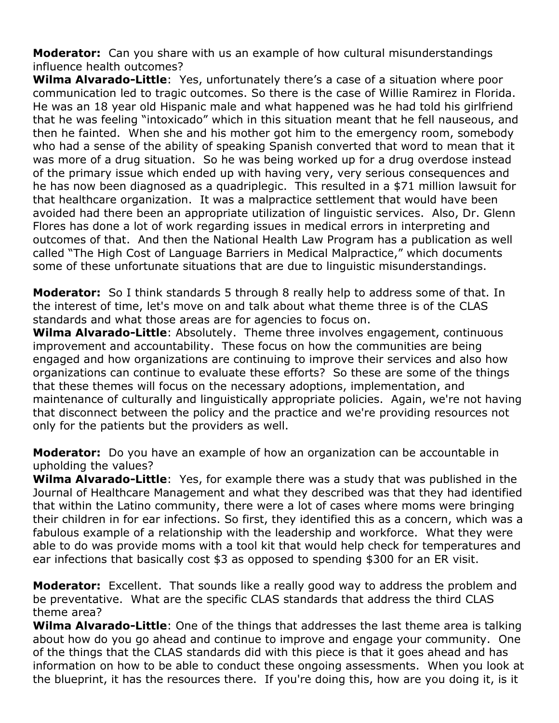**Moderator:** Can you share with us an example of how cultural misunderstandings influence health outcomes?

**Wilma Alvarado-Little**: Yes, unfortunately there's a case of a situation where poor communication led to tragic outcomes. So there is the case of Willie Ramirez in Florida. He was an 18 year old Hispanic male and what happened was he had told his girlfriend that he was feeling "intoxicado" which in this situation meant that he fell nauseous, and then he fainted. When she and his mother got him to the emergency room, somebody who had a sense of the ability of speaking Spanish converted that word to mean that it was more of a drug situation. So he was being worked up for a drug overdose instead of the primary issue which ended up with having very, very serious consequences and he has now been diagnosed as a quadriplegic. This resulted in a \$71 million lawsuit for that healthcare organization. It was a malpractice settlement that would have been avoided had there been an appropriate utilization of linguistic services. Also, Dr. Glenn Flores has done a lot of work regarding issues in medical errors in interpreting and outcomes of that. And then the National Health Law Program has a publication as well called "The High Cost of Language Barriers in Medical Malpractice," which documents some of these unfortunate situations that are due to linguistic misunderstandings.

**Moderator:** So I think standards 5 through 8 really help to address some of that. In the interest of time, let's move on and talk about what theme three is of the CLAS standards and what those areas are for agencies to focus on.

**Wilma Alvarado-Little**: Absolutely. Theme three involves engagement, continuous improvement and accountability. These focus on how the communities are being engaged and how organizations are continuing to improve their services and also how organizations can continue to evaluate these efforts? So these are some of the things that these themes will focus on the necessary adoptions, implementation, and maintenance of culturally and linguistically appropriate policies. Again, we're not having that disconnect between the policy and the practice and we're providing resources not only for the patients but the providers as well.

**Moderator:** Do you have an example of how an organization can be accountable in upholding the values?

**Wilma Alvarado-Little**: Yes, for example there was a study that was published in the Journal of Healthcare Management and what they described was that they had identified that within the Latino community, there were a lot of cases where moms were bringing their children in for ear infections. So first, they identified this as a concern, which was a fabulous example of a relationship with the leadership and workforce. What they were able to do was provide moms with a tool kit that would help check for temperatures and ear infections that basically cost \$3 as opposed to spending \$300 for an ER visit.

**Moderator:** Excellent. That sounds like a really good way to address the problem and be preventative. What are the specific CLAS standards that address the third CLAS theme area?

**Wilma Alvarado-Little**: One of the things that addresses the last theme area is talking about how do you go ahead and continue to improve and engage your community. One of the things that the CLAS standards did with this piece is that it goes ahead and has information on how to be able to conduct these ongoing assessments. When you look at the blueprint, it has the resources there. If you're doing this, how are you doing it, is it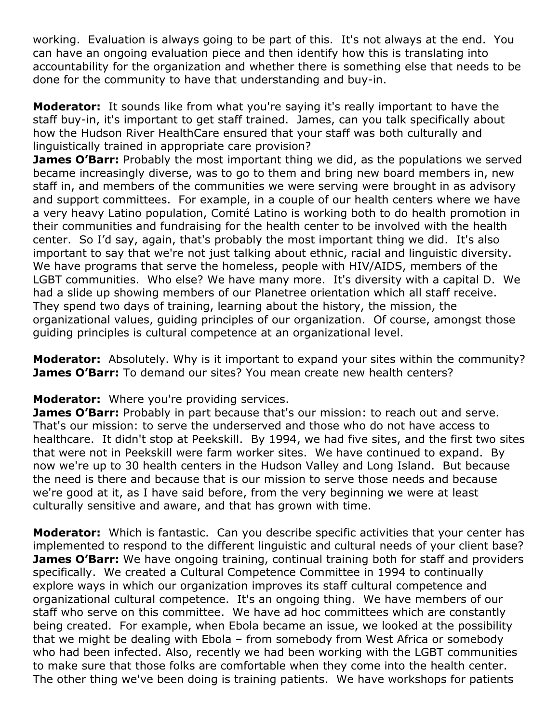working. Evaluation is always going to be part of this. It's not always at the end. You can have an ongoing evaluation piece and then identify how this is translating into accountability for the organization and whether there is something else that needs to be done for the community to have that understanding and buy-in.

**Moderator:** It sounds like from what you're saying it's really important to have the staff buy-in, it's important to get staff trained. James, can you talk specifically about how the Hudson River HealthCare ensured that your staff was both culturally and linguistically trained in appropriate care provision?

**James O'Barr:** Probably the most important thing we did, as the populations we served became increasingly diverse, was to go to them and bring new board members in, new staff in, and members of the communities we were serving were brought in as advisory and support committees. For example, in a couple of our health centers where we have a very heavy Latino population, Comité Latino is working both to do health promotion in their communities and fundraising for the health center to be involved with the health center. So I'd say, again, that's probably the most important thing we did. It's also important to say that we're not just talking about ethnic, racial and linguistic diversity. We have programs that serve the homeless, people with HIV/AIDS, members of the LGBT communities. Who else? We have many more. It's diversity with a capital D. We had a slide up showing members of our Planetree orientation which all staff receive. They spend two days of training, learning about the history, the mission, the organizational values, guiding principles of our organization. Of course, amongst those guiding principles is cultural competence at an organizational level.

**Moderator:** Absolutely. Why is it important to expand your sites within the community? **James O'Barr:** To demand our sites? You mean create new health centers?

**Moderator:** Where you're providing services.

**James O'Barr:** Probably in part because that's our mission: to reach out and serve. That's our mission: to serve the underserved and those who do not have access to healthcare. It didn't stop at Peekskill. By 1994, we had five sites, and the first two sites that were not in Peekskill were farm worker sites. We have continued to expand. By now we're up to 30 health centers in the Hudson Valley and Long Island. But because the need is there and because that is our mission to serve those needs and because we're good at it, as I have said before, from the very beginning we were at least culturally sensitive and aware, and that has grown with time.

**Moderator:** Which is fantastic. Can you describe specific activities that your center has implemented to respond to the different linguistic and cultural needs of your client base? **James O'Barr:** We have ongoing training, continual training both for staff and providers specifically. We created a Cultural Competence Committee in 1994 to continually explore ways in which our organization improves its staff cultural competence and organizational cultural competence. It's an ongoing thing. We have members of our staff who serve on this committee. We have ad hoc committees which are constantly being created. For example, when Ebola became an issue, we looked at the possibility that we might be dealing with Ebola – from somebody from West Africa or somebody who had been infected. Also, recently we had been working with the LGBT communities to make sure that those folks are comfortable when they come into the health center. The other thing we've been doing is training patients. We have workshops for patients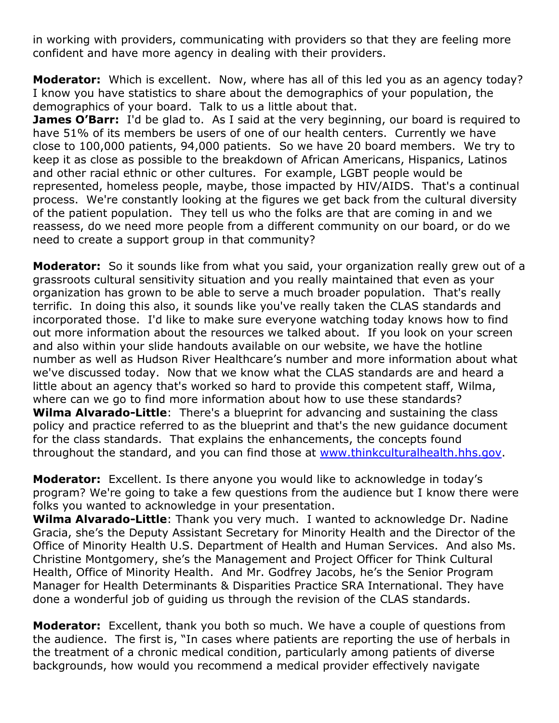in working with providers, communicating with providers so that they are feeling more confident and have more agency in dealing with their providers.

**Moderator:** Which is excellent. Now, where has all of this led you as an agency today? I know you have statistics to share about the demographics of your population, the demographics of your board. Talk to us a little about that.

**James O'Barr:** I'd be glad to. As I said at the very beginning, our board is required to have 51% of its members be users of one of our health centers. Currently we have close to 100,000 patients, 94,000 patients. So we have 20 board members. We try to keep it as close as possible to the breakdown of African Americans, Hispanics, Latinos and other racial ethnic or other cultures. For example, LGBT people would be represented, homeless people, maybe, those impacted by HIV/AIDS. That's a continual process. We're constantly looking at the figures we get back from the cultural diversity of the patient population. They tell us who the folks are that are coming in and we reassess, do we need more people from a different community on our board, or do we need to create a support group in that community?

**Moderator:** So it sounds like from what you said, your organization really grew out of a grassroots cultural sensitivity situation and you really maintained that even as your organization has grown to be able to serve a much broader population. That's really terrific. In doing this also, it sounds like you've really taken the CLAS standards and incorporated those. I'd like to make sure everyone watching today knows how to find out more information about the resources we talked about. If you look on your screen and also within your slide handouts available on our website, we have the hotline number as well as Hudson River Healthcare's number and more information about what we've discussed today. Now that we know what the CLAS standards are and heard a little about an agency that's worked so hard to provide this competent staff, Wilma, where can we go to find more information about how to use these standards? **Wilma Alvarado-Little**: There's a blueprint for advancing and sustaining the class policy and practice referred to as the blueprint and that's the new guidance document for the class standards. That explains the enhancements, the concepts found throughout the standard, and you can find those at [www.thinkculturalhealth.hhs.gov.](http://www.thinkculturalhealth.hhs.gov/)

**Moderator:** Excellent. Is there anyone you would like to acknowledge in today's program? We're going to take a few questions from the audience but I know there were folks you wanted to acknowledge in your presentation.

**Wilma Alvarado-Little**: Thank you very much. I wanted to acknowledge Dr. Nadine Gracia, she's the Deputy Assistant Secretary for Minority Health and the Director of the Office of Minority Health U.S. Department of Health and Human Services. And also Ms. Christine Montgomery, she's the Management and Project Officer for Think Cultural Health, Office of Minority Health. And Mr. Godfrey Jacobs, he's the Senior Program Manager for Health Determinants & Disparities Practice SRA International. They have done a wonderful job of guiding us through the revision of the CLAS standards.

**Moderator:** Excellent, thank you both so much. We have a couple of questions from the audience. The first is, "In cases where patients are reporting the use of herbals in the treatment of a chronic medical condition, particularly among patients of diverse backgrounds, how would you recommend a medical provider effectively navigate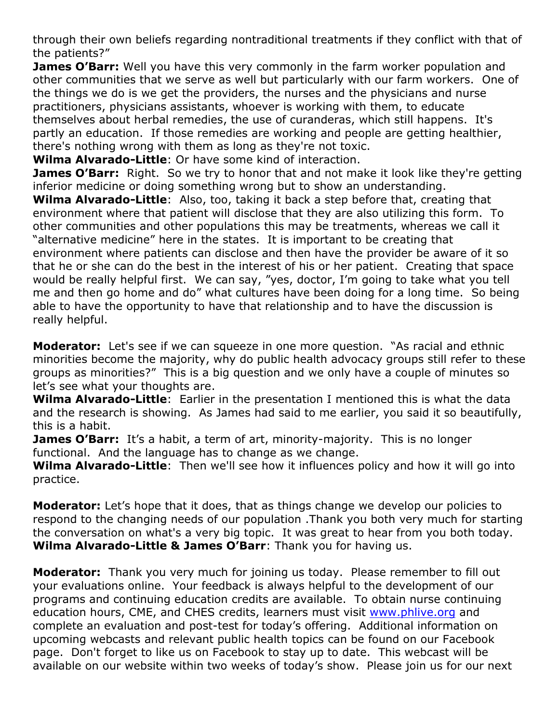through their own beliefs regarding nontraditional treatments if they conflict with that of the patients?"

**James O'Barr:** Well you have this very commonly in the farm worker population and other communities that we serve as well but particularly with our farm workers. One of the things we do is we get the providers, the nurses and the physicians and nurse practitioners, physicians assistants, whoever is working with them, to educate themselves about herbal remedies, the use of curanderas, which still happens. It's partly an education. If those remedies are working and people are getting healthier, there's nothing wrong with them as long as they're not toxic.

**Wilma Alvarado-Little**: Or have some kind of interaction.

**James O'Barr:** Right. So we try to honor that and not make it look like they're getting inferior medicine or doing something wrong but to show an understanding.

**Wilma Alvarado-Little**: Also, too, taking it back a step before that, creating that environment where that patient will disclose that they are also utilizing this form. To other communities and other populations this may be treatments, whereas we call it "alternative medicine" here in the states. It is important to be creating that environment where patients can disclose and then have the provider be aware of it so that he or she can do the best in the interest of his or her patient. Creating that space would be really helpful first. We can say, "yes, doctor, I'm going to take what you tell me and then go home and do" what cultures have been doing for a long time. So being able to have the opportunity to have that relationship and to have the discussion is really helpful.

**Moderator:** Let's see if we can squeeze in one more question. "As racial and ethnic minorities become the majority, why do public health advocacy groups still refer to these groups as minorities?" This is a big question and we only have a couple of minutes so let's see what your thoughts are.

**Wilma Alvarado-Little**: Earlier in the presentation I mentioned this is what the data and the research is showing. As James had said to me earlier, you said it so beautifully, this is a habit.

**James O'Barr:** It's a habit, a term of art, minority-majority. This is no longer functional. And the language has to change as we change.

**Wilma Alvarado-Little**: Then we'll see how it influences policy and how it will go into practice.

**Moderator:** Let's hope that it does, that as things change we develop our policies to respond to the changing needs of our population .Thank you both very much for starting the conversation on what's a very big topic. It was great to hear from you both today. **Wilma Alvarado-Little & James O'Barr**: Thank you for having us.

**Moderator:** Thank you very much for joining us today. Please remember to fill out your evaluations online. Your feedback is always helpful to the development of our programs and continuing education credits are available. To obtain nurse continuing education hours, CME, and CHES credits, learners must visit [www.phlive.org](http://www.phlive.org/) and complete an evaluation and post-test for today's offering. Additional information on upcoming webcasts and relevant public health topics can be found on our Facebook page. Don't forget to like us on Facebook to stay up to date. This webcast will be available on our website within two weeks of today's show. Please join us for our next